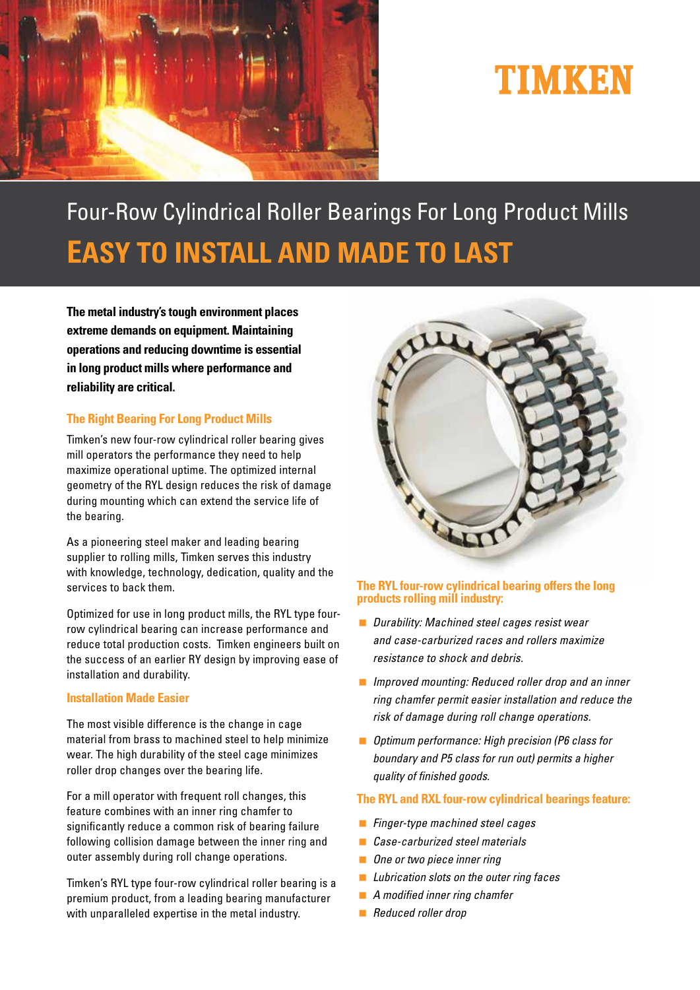

# TIMKEN

# Four-Row Cylindrical Roller Bearings For Long Product Mills **EASY TO INSTALL AND MADE TO LAST**

**The metal industry's tough environment places extreme demands on equipment. Maintaining operations and reducing downtime is essential in long product mills where performance and reliability are critical.**

## **The Right Bearing For Long Product Mills**

Timken's new four-row cylindrical roller bearing gives mill operators the performance they need to help maximize operational uptime. The optimized internal geometry of the RYL design reduces the risk of damage during mounting which can extend the service life of the bearing.

As a pioneering steel maker and leading bearing supplier to rolling mills, Timken serves this industry with knowledge, technology, dedication, quality and the services to back them.

Optimized for use in long product mills, the RYL type fourrow cylindrical bearing can increase performance and reduce total production costs. Timken engineers built on the success of an earlier RY design by improving ease of installation and durability.

#### **Installation Made Easier**

The most visible difference is the change in cage material from brass to machined steel to help minimize wear. The high durability of the steel cage minimizes roller drop changes over the bearing life.

For a mill operator with frequent roll changes, this feature combines with an inner ring chamfer to significantly reduce a common risk of bearing failure following collision damage between the inner ring and outer assembly during roll change operations.

Timken's RYL type four-row cylindrical roller bearing is a premium product, from a leading bearing manufacturer with unparalleled expertise in the metal industry.



#### **The RYL four-row cylindrical bearing offers the long products rolling mill industry:**

- *Durability: Machined steel cages resist wear and case-carburized races and rollers maximize resistance to shock and debris.*
- *Improved mounting: Reduced roller drop and an inner ring chamfer permit easier installation and reduce the risk of damage during roll change operations.*
- *Optimum performance: High precision (P6 class for boundary and P5 class for run out) permits a higher quality of finished goods.*

### **The RYL and RXL four-row cylindrical bearings feature:**

- *Finger-type machined steel cages*
- *Case-carburized steel materials*
- *One or two piece inner ring*
- *Lubrication slots on the outer ring faces*
- *A modified inner ring chamfer*
- *Reduced roller drop*